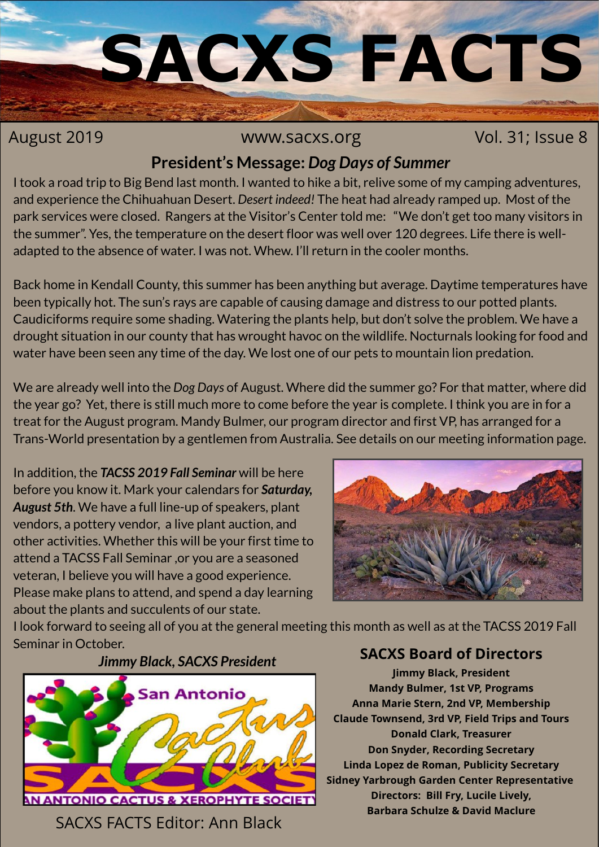

#### August 2019 **WWW.Sacxs.org MILLET 2019** WWW.Sacxs.org Vol. 31; Issue 8

#### **President's Message:** *Dog Days of Summer*

I took a road trip to Big Bend last month. I wanted to hike a bit, relive some of my camping adventures, and experience the Chihuahuan Desert. *Desert indeed!* The heat had already ramped up. Most of the park services were closed. Rangers at the Visitor's Center told me: "We don't get too many visitors in the summer". Yes, the temperature on the desert floor was well over 120 degrees. Life there is welladapted to the absence of water. I was not. Whew. I'll return in the cooler months.

Back home in Kendall County, this summer has been anything but average. Daytime temperatures have been typically hot. The sun's rays are capable of causing damage and distress to our potted plants. Caudiciforms require some shading. Watering the plants help, but don't solve the problem. We have a drought situation in our county that has wrought havoc on the wildlife. Nocturnals looking for food and water have been seen any time of the day. We lost one of our pets to mountain lion predation.

We are already well into the *Dog Days* of August. Where did the summer go? For that matter, where did the year go? Yet, there is still much more to come before the year is complete. I think you are in for a treat for the August program. Mandy Bulmer, our program director and first VP, has arranged for a Trans-World presentation by a gentlemen from Australia. See details on our meeting information page.

In addition, the *TACSS 2019 Fall Seminar* will be here before you know it. Mark your calendars for *Saturday, August 5th*. We have a full line-up of speakers, plant vendors, a pottery vendor, a live plant auction, and other activities. Whether this will be your first time to attend a TACSS Fall Seminar ,or you are a seasoned veteran, I believe you will have a good experience. Please make plans to attend, and spend a day learning about the plants and succulents of our state.



I look forward to seeing all of you at the general meeting this month as well as at the TACSS 2019 Fall Seminar in October.

*Jimmy Black, SACXS President*



SACXS FACTS Editor: Ann Black

#### **SACXS Board of Directors**

**Jimmy Black, President Mandy Bulmer, 1st VP, Programs Anna Marie Stern, 2nd VP, Membership Claude Townsend, 3rd VP, Field Trips and Tours Donald Clark, Treasurer Don Snyder, Recording Secretary Linda Lopez de Roman, Publicity Secretary Sidney Yarbrough Garden Center Representative Directors: Bill Fry, Lucile Lively, Barbara Schulze & David Maclure**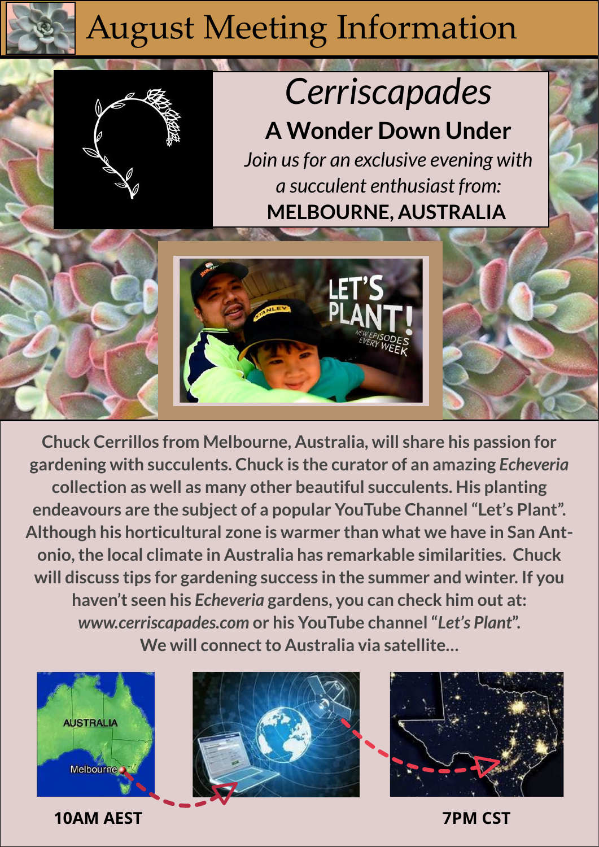## August Meeting Information

# *Cerriscapades*

**A Wonder Down Under** *Join us for an exclusive evening with a succulent enthusiast from:* **MELBOURNE, AUSTRALIA**



**Chuck Cerrillos from Melbourne, Australia, will share his passion for gardening with succulents. Chuck is the curator of an amazing** *Echeveria* **collection as well as many other beautiful succulents. His planting endeavours are the subject of a popular YouTube Channel "Let's Plant". Although his horticultural zone is warmer than what we have in San Antonio, the local climate in Australia has remarkable similarities. Chuck will discuss tips for gardening success in the summer and winter. If you haven't seen his** *Echeveria* **gardens, you can check him out at:**  *www.cerriscapades.com* **or his YouTube channel "***Let's Plant***". We will connect to Australia via satellite…**



**10AM AEST 7PM CST**



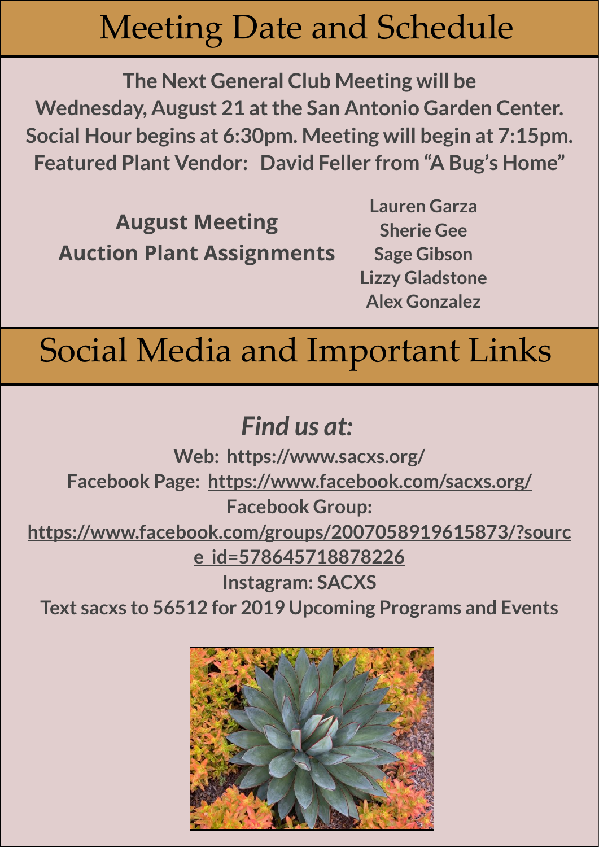## Meeting Date and Schedule

**The Next General Club Meeting will be Wednesday, August 21 at the San Antonio Garden Center. Social Hour begins at 6:30pm. Meeting will begin at 7:15pm. Featured Plant Vendor: David Feller from "A Bug's Home"**

**August Meeting Auction Plant Assignments**

**Lauren Garza Sherie Gee Sage Gibson Lizzy Gladstone Alex Gonzalez**

### Social Media and Important Links

### *Find us at:*

**Web: <https://www.sacxs.org/> Facebook Page: <https://www.facebook.com/sacxs.org/> Facebook Group: [https://www.facebook.com/groups/2007058919615873/?sourc](https://www.facebook.com/groups/2007058919615873/?source_id=578645718878226) [e\\_id=578645718878226](https://www.facebook.com/groups/2007058919615873/?source_id=578645718878226)**

**Instagram: SACXS**

**Text sacxs to 56512 for 2019 Upcoming Programs and Events**

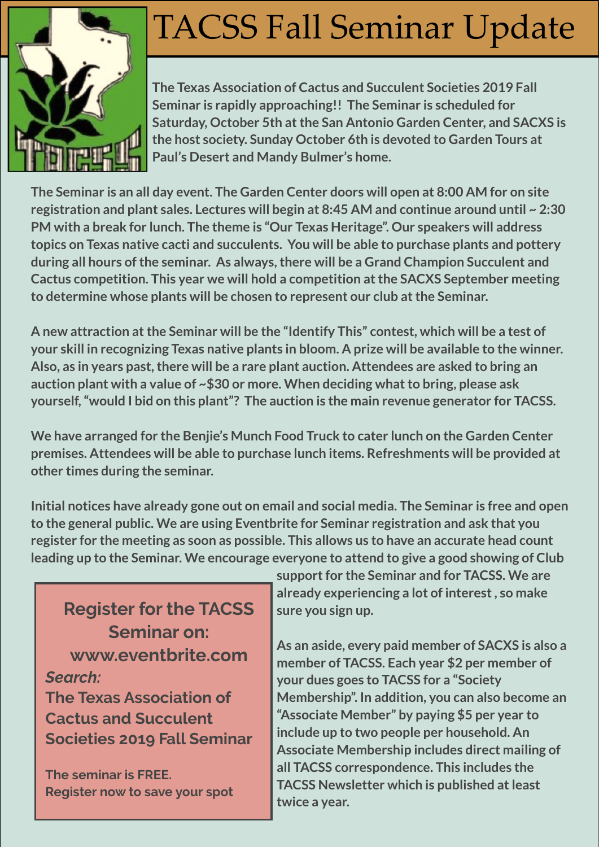

## TACSS Fall Seminar Update

**The Texas Association of Cactus and Succulent Societies 2019 Fall Seminar is rapidly approaching!! The Seminar is scheduled for Saturday, October 5th at the San Antonio Garden Center, and SACXS is the host society. Sunday October 6th is devoted to Garden Tours at Paul's Desert and Mandy Bulmer's home.**

**The Seminar is an all day event. The Garden Center doors will open at 8:00 AM for on site registration and plant sales. Lectures will begin at 8:45 AM and continue around until ~ 2:30 PM with a break for lunch. The theme is "Our Texas Heritage". Our speakers will address topics on Texas native cacti and succulents. You will be able to purchase plants and pottery during all hours of the seminar. As always, there will be a Grand Champion Succulent and Cactus competition. This year we will hold a competition at the SACXS September meeting to determine whose plants will be chosen to represent our club at the Seminar.**

**A new attraction at the Seminar will be the "Identify This" contest, which will be a test of your skill in recognizing Texas native plants in bloom. A prize will be available to the winner. Also, as in years past, there will be a rare plant auction. Attendees are asked to bring an auction plant with a value of ~\$30 or more. When deciding what to bring, please ask yourself, "would I bid on this plant"? The auction is the main revenue generator for TACSS.**

**We have arranged for the Benjie's Munch Food Truck to cater lunch on the Garden Center premises. Attendees will be able to purchase lunch items. Refreshments will be provided at other times during the seminar.** 

**Initial notices have already gone out on email and social media. The Seminar is free and open to the general public. We are using Eventbrite for Seminar registration and ask that you register for the meeting as soon as possible. This allows us to have an accurate head count leading up to the Seminar. We encourage everyone to attend to give a good showing of Club** 

**Register for the TACSS Seminar on: [www.eventbrite.com](http://www.eventbrite.com/)** *Search:* **The Texas Association of Cactus and Succulent Societies 2019 Fall Seminar**

**The seminar is FREE. Register now to save your spot** **support for the Seminar and for TACSS. We are already experiencing a lot of interest , so make sure you sign up.**

**As an aside, every paid member of SACXS is also a member of TACSS. Each year \$2 per member of your dues goes to TACSS for a "Society Membership". In addition, you can also become an "Associate Member" by paying \$5 per year to include up to two people per household. An Associate Membership includes direct mailing of all TACSS correspondence. This includes the TACSS Newsletter which is published at least twice a year.**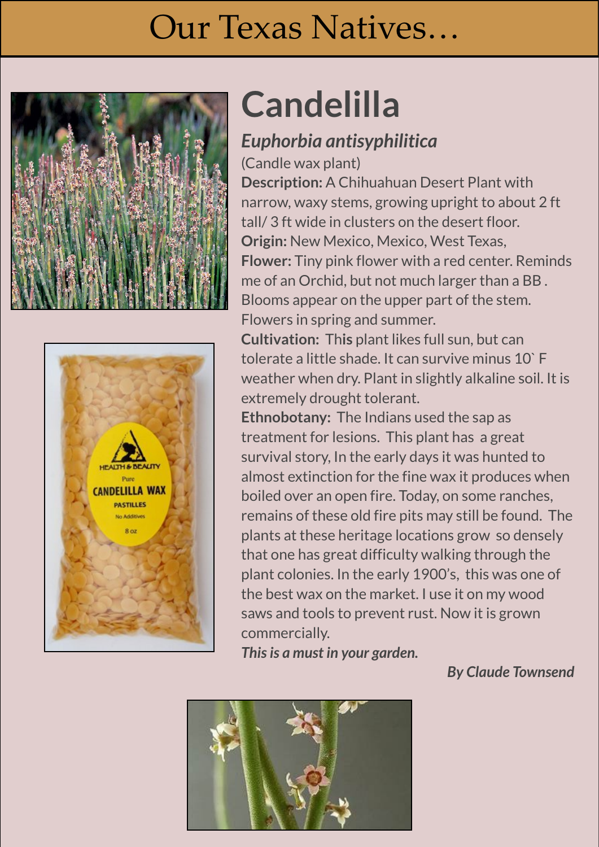## Our Texas Natives…

Echeveria were named after Mexican botanical artist Atanasio Echeverría y Godoy in 1828 by the French





# **Candelilla**

#### Perennial echeveria grows well in Mediterranean-like coastal climates and is winter hardy in U.S. Department of Agriculture *Euphorbia antisyphilitica*

(Candle wax plant)

**Description:** A Chihuahuan Desert Plant with narrow, waxy stems, growing upright to about 2 ft tall/ 3 ft wide in clusters on the desert floor. **Origin:** New Mexico, Mexico, West Texas, **Flower:** Tiny pink flower with a red center. Reminds me of an Orchid, but not much larger than a BB . Blooms appear on the upper part of the stem. Flowers in spring and summer.

**Cultivation:** Th**is** plant likes full sun, but can tolerate a little shade. It can survive minus 10` F weather when dry. Plant in slightly alkaline soil. It is extremely drought tolerant.

**Ethnobotany:** The Indians used the sap as treatment for lesions. This plant has a great survival story, In the early days it was hunted to almost extinction for the fine wax it produces when boiled over an open fire. Today, on some ranches, remains of these old fire pits may still be found. The plants at these heritage locations grow so densely that one has great difficulty walking through the plant colonies. In the early 1900's, this was one of the best wax on the market. I use it on my wood saws and tools to prevent rust. Now it is grown

**Plants: This is a must in your garden.** 

#### *By Claude Townsend*